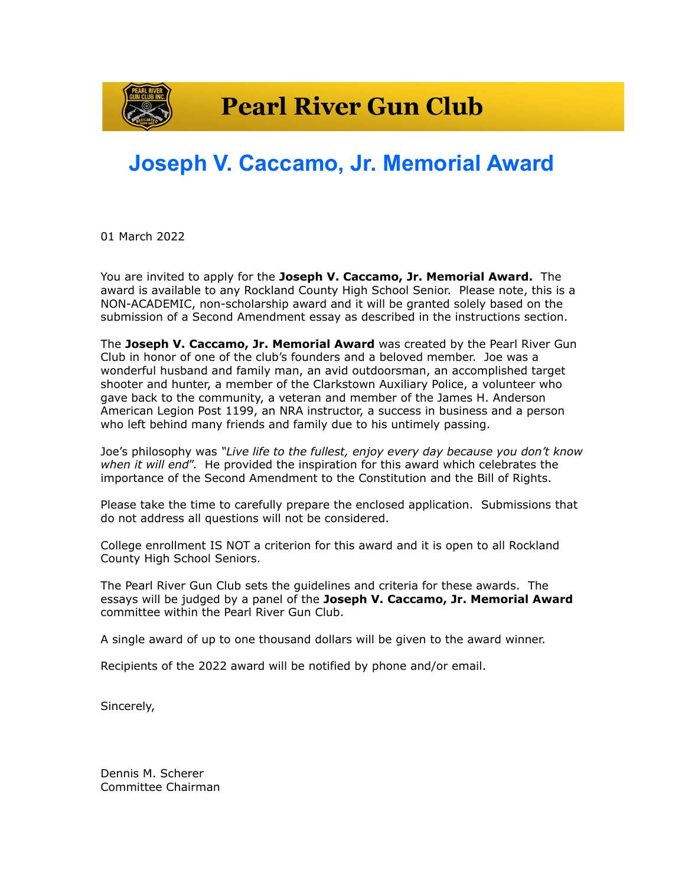

## **Joseph V. Caccamo, Jr. Memorial Award**

01 March 2022

You are invited to apply for the **Joseph V. Caccamo, Jr. Memorial Award.** The award is available to any Rockland County High School Senior. Please note, this is a NON-ACADEMIC, non-scholarship award and it will be granted solely based on the submission of a Second Amendment essay as described in the instructions section.

The **Joseph V. Caccamo, Jr. Memorial Award** was created by the Pearl River Gun Club in honor of one of the club's founders and a beloved member. Joe was a wonderful husband and family man, an avid outdoorsman, an accomplished target shooter and hunter, a member of the Clarkstown Auxiliary Police, a volunteer who gave back to the community, a veteran and member of the James H. Anderson American Legion Post 1199, an NRA instructor, a success in business and a person who left behind many friends and family due to his untimely passing.

Joe's philosophy was *"Live life to the fullest, enjoy every day because you don't know when it will end*". He provided the inspiration for this award which celebrates the importance of the Second Amendment to the Constitution and the Bill of Rights.

Please take the time to carefully prepare the enclosed application. Submissions that do not address all questions will not be considered.

College enrollment IS NOT a criterion for this award and it is open to all Rockland County High School Seniors.

The Pearl River Gun Club sets the guidelines and criteria for these awards. The essays will be judged by a panel of the **Joseph V. Caccamo, Jr. Memorial Award** committee within the Pearl River Gun Club.

A single award of up to one thousand dollars will be given to the award winner.

Recipients of the 2022 award will be notified by phone and/or email.

Sincerely,

Dennis M. Scherer Committee Chairman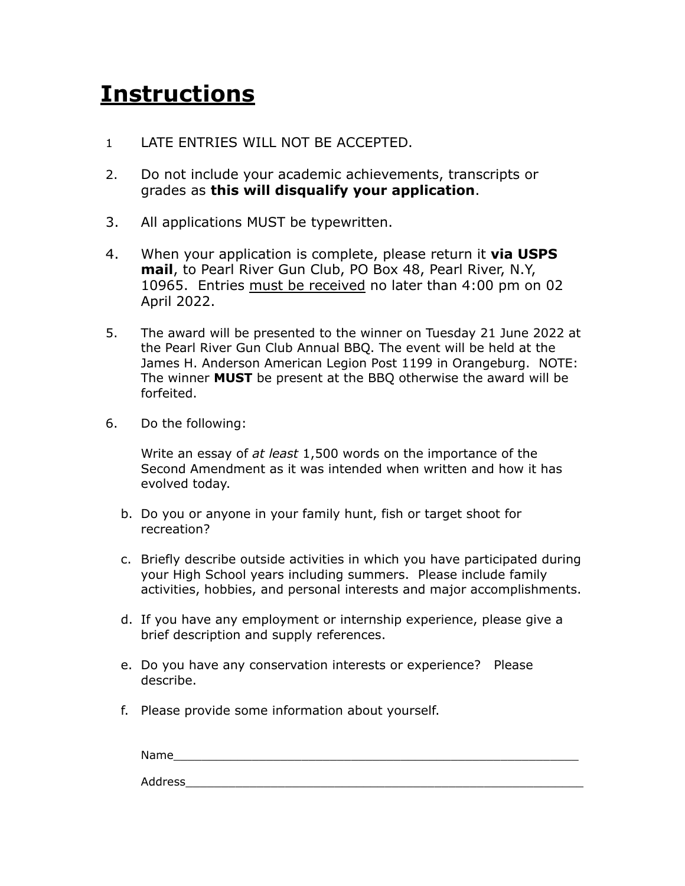## **Instructions**

- 1 LATE ENTRIES WILL NOT BE ACCEPTED.
- 2. Do not include your academic achievements, transcripts or grades as **this will disqualify your application**.
- 3. All applications MUST be typewritten.
- 4. When your application is complete, please return it **via USPS mail**, to Pearl River Gun Club, PO Box 48, Pearl River, N.Y, 10965. Entries must be received no later than 4:00 pm on 02 April 2022.
- 5. The award will be presented to the winner on Tuesday 21 June 2022 at the Pearl River Gun Club Annual BBQ. The event will be held at the James H. Anderson American Legion Post 1199 in Orangeburg. NOTE: The winner **MUST** be present at the BBQ otherwise the award will be forfeited.
- 6. Do the following:

Write an essay of *at least* 1,500 words on the importance of the Second Amendment as it was intended when written and how it has evolved today.

- b. Do you or anyone in your family hunt, fish or target shoot for recreation?
- c. Briefly describe outside activities in which you have participated during your High School years including summers. Please include family activities, hobbies, and personal interests and major accomplishments.
- d. If you have any employment or internship experience, please give a brief description and supply references.
- e. Do you have any conservation interests or experience? Please describe.
- f. Please provide some information about yourself.

Name\_\_\_\_\_\_\_\_\_\_\_\_\_\_\_\_\_\_\_\_\_\_\_\_\_\_\_\_\_\_\_\_\_\_\_\_\_\_\_\_\_\_\_\_\_\_\_\_\_\_\_\_\_\_\_\_\_ Address\_\_\_\_\_\_\_\_\_\_\_\_\_\_\_\_\_\_\_\_\_\_\_\_\_\_\_\_\_\_\_\_\_\_\_\_\_\_\_\_\_\_\_\_\_\_\_\_\_\_\_\_\_\_\_\_